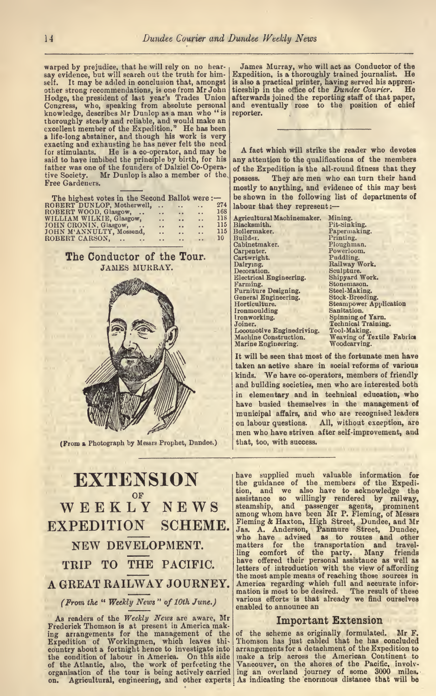# EXTENSION  $W E E K L<sup>OF</sup>$   $N E W S$  assistance so  $W$ EXPEDITION SCHEME. Jas. A. And A GREAT RAILWAY JOURNEY. The merical regarding which full and accurate information of the result of these

(Prom the " Weekly News " of 10th June.)

As readers of the Weekly News are aware, Mr Frederick Thomson is at present in America mak.<br>ing arrangements for the management of the of the scheme as originally formulated. Mr F. ing arrangements for the management of the Expedition of Workingmen, which leaves this Thomson has just cabled that he has concluded country about a fortnight hence to investigate into arrangements for a detachment of the Expedition to country about a fortnight hence to investigate into the condition of labour in America. On this side of the Atlantic, also, the work of perfecting the Vancouver, on the shores of the Pacific, involv-<br>organisation of the tour is being actively carried ing an overland journey of some 3000 miles. organisation of the tour is being actively carried organisation of the tour is being actively carried ing an overland journey of some 3000 miles.<br>on. Agricultural, engineering, and other experts As indicating the enormous distance that will be

NEW DEVELOPMENT. The matters for the transportation and travel-TRIP TO THE PACIFIC. Suppose offered their personal assistance as well as<br>tetters of introduction with the view of affording<br>the most ample means of reaching those sources in have supplied much valuable information for the guidance of the members of the Expedi tion, and we also have to acknowledge the assistance so willingly rendered by railway, steamship, and passenger agents, prominent among whom have been Mr P. Fleming, of Messrs Fleming & Haxton, High Street, Dundee, and Mr Jas. A. Anderson, Panmure Street, Dundee, who have advised as to routes and other matters for the transportation and travel have offered their personal assistance as well as letters of introduction with the view of affording America regarding which full and accurate inforvarious efforts is that already we find ourselves enabled to announce an

### Important Extension

Thomson has just cabled that he has concluded make a trip across the American Continent to Vancouver, on the shores of the Pacific, involv-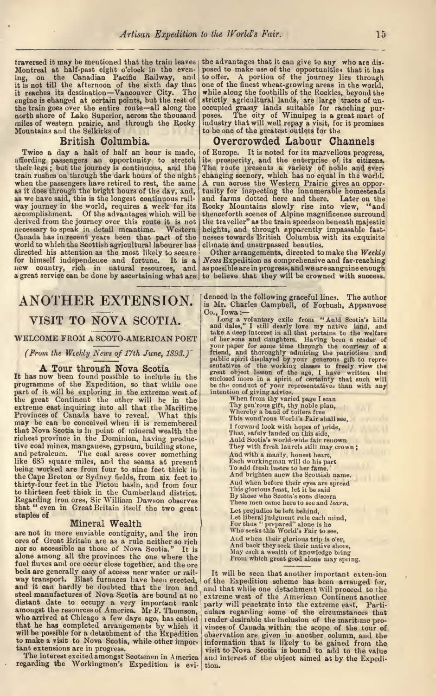traversed it may be mentioned that the train leaves the at Montreal at half-past eight o'clock in the even-<br>ing, on the Canadian Pacific Railway, and to off it is not till the atternoon of the sixth day that one of<br>it reaches its destination—Vancouver City. The while<br>engine is changed at certain points, but the rest of strict! the train goes over the entire route-all along the north shore of Lake Superior, across the thousand miles of western prairie, and through the Rocky Mountains and the Selkirks of

### British Columbia.

affording passengers an opportunity to stretch its their legs; but the journey is continuous, and the The when the passengers have retired to rest, the same as it does through the bright hours of the day, and, as we have said, this is the longest continuous rail accomplishment. Of the advantages which will be derived from the journey over this route it is not necessary to speak in detail meantime. Western heights, and through apparently impassable fast-<br>Canada has in recent years been that part of the nesses towards British Columbia with its exquisite<br>world to which the Scottis directed his attention as the most likely to secure new country, rich in natural resources, and a great service can be done by ascertaining what are

the advantages that it can give to any who are dis posed to make use of the opportunities that it has<br>to offer. A portion of the journey lies through one of the finest wheat-growing areas in the world, while along the foothills of the Rockies, beyond the strictly agricultural lands, are large tracts of uncocupied grassy lands suitable for ranching pur-<br>poses. The city of Winnipeg is a great mart of<br>industry that will well repay a visit, for it promises to be one of the greatest outlets for the

### Overcrowded Labour Channels

Twice a day a halt of half an hour is made, of Europe. It is noted for its marvellous progress. way journey in the world, requires a week for its Rocky Mountains slowly rise into view, "and accomplishment. Of the advantages which will be thenceforth scenes of Alpine magnificence surround ! of Europe. It is noted for its marvellous progress, its prosperity, and the enterprise of its citizens. The route presents <sup>a</sup> variety of noble and ever- A run across the Western Prairie gives an opportunity for inspecting the innumerable homesteads tunity for inspecting the innumerable homesteads and farms dotted here and there. Later on the Rocky Mountains slowly rise into view, "and thenceforth scenes of Alpine magnificence surround the traveller" as the train speeds on beneath majestic heights, and through apparently impassable fast

> News Expedition as comprehensive and far-reaching. as possible are in progress, and we are sanguine enough to believe that they will be crowned with success.

## ANOTHER EXTENSION. VISIT TO NOVA SCOTIA.

WELCOME FROM A SCOTO-AMERICAN POET

(From the Weekly News of 17th June, 1893.)

#### A Tour through Nova Scotia

It has now been found possible to include in the programme of the Expedition, so that while one part of it will be exploring in the extreme west of the great Continent the other will be in the When from thy varies extreme east inquiring into all that the Maritime Tygen'rous gift, the Maritime Provinces of Canada have to reveal. What this may be can be conceived when it is remembered that Nova Scotia is in point of mineral wealth the richest province in the Dominion, having produc tive coal mines, manganese, gypsum, building stone, and petroleum. The coal areas cover something like 685 square miles, and the seams at present being worked are from four to nine feet thick in the Cape Breton or Sydney fields, from six feet to thirty-four feet in the Pictou basin, and from four to thirteen feet thick in the Cumberland district.<br>Regarding iron ores, Sir William Dawson observes that "even in Great Britain itself the two great staples of

**Mineral Wealth**<br>are not in more enviable contiguity, and the iron ores of Great Britain are as a rule neither so rich nor so accessible as those of Nova Scotia." It is alone among all the provinces the one where the fuel fluxes and ore occur close together, and the ore beds are generally easy of access near water or railway transport. Blast furnaces have been erected, and it can hardly be doubted that the iron and and that while one detachment will proceed to the steel manufactures of Nova Scotia are bound at no distant date to occupy a very important rank amongst the resources of America. Mr F. Thomson, to make <sup>a</sup> visit to Nova Scotia, while other impor

The interest excited amongst Scotsmen in America regarding the Workingmen's Expedition is evi- tion.

denced in the following graceful lines. The author<br>is Mr. Charles Campbell, of Forbush, Appanvose

Is Mr. Charles Campbell, of Forbush, Appanvose<br>Co., Jowa :--<br>Co., Jowa a voluntary exile from "Auld Scotia's hills<br>and dalse," I still dearly love my native land, and<br>take a deep interest in all that pertains to the welfar

When from thy varied page I scan<br>Thy gen'rous gift, thy noble plan,<br>Whereby a band of toilers free<br>This wond'rous World's Fair shall see,<br>I forward look with hopes of pride, I forward look with hopes of pride,<br>That, safely landed on this side,<br>Auld Scotia's world-wide fair renown And with a manly, honest heart,<br>Each workingman will do his part<br>To add fresh lustre to her fame.<br>And brighten anew the Scottish name. And when before their eyes are spread<br>This glorious feast, let it be said By those who Scotia's sons discern<br>These men came here to see and learn.<br>Let prejudice be left behind. Let prejudice be left behind, Let liberal judgment rule each mind, For thus ' prepared" alone is he Who seeks this World's Fair to see. And when their glorious trip is o'er, And back they seek their native shore, May each <sup>a</sup> wealth of knowledge bring From which great good alone may spring.

amongst the resources of America. Mr F. Thomson, culars regarding some of the circumstances that<br>who arrived at Chicago a few days ago, has cabled render desirable the inclusion of the maritme pro-<br>that he has completed ar It will be seen that another important extension of the Expedition scheme has been arranged for, extreme west of the American Continent another party will penetrate into the extreme east. Parti render desirable the inclusion of the marit.me proobservation are given in another column, and the information that is likely to be gained from the visit to Nova Scotia is bound to add to the value<br>and interest of the object aimed at by the Expedi-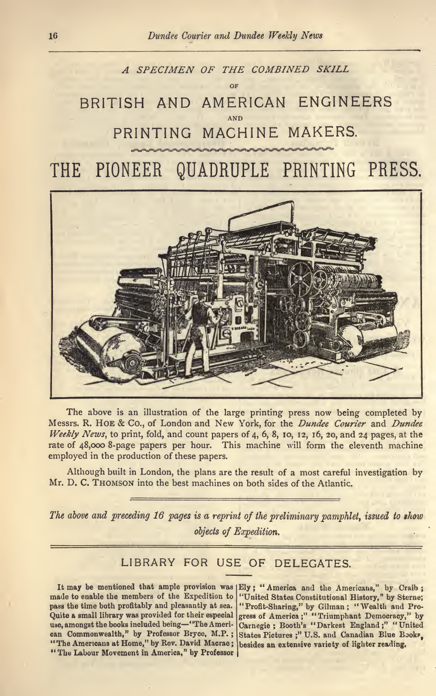



The above is an illustration of the large printing press now being completed by Messrs. R. HOE & Co., of London and New York, for the Dundee Courier and Dundee Weekly News, to print, fold, and count papers of 4, 6, 8, 10, 12, 16, 20, and <sup>24</sup> pages, at the rate of 48,000 8-page papers per hour. This machine will form the eleventh machine employed in the production of these papers.

Although built in London, the plans are the result of a most careful investigation by Mr. D. C. THOMSON into the best machines on both sides of the Atlantic.

The above and preceding 16 pages is <sup>a</sup> reprint of the preliminary pamphlet, issued to show objects of Expedition.

### LIBRARY FOR USE OF DELEGATES.

made to enable the members of the Expedition to pass the time both profitably and pleasantly at sea. use, amongst the books included being-"The Ameri-"The Americans at Home," by Rev. David Macrae; besides an extensive variety of lighter reading. "The Labour Movement in America," by Professor

It may be mentioned that ample provision was Ely; "America and the Americans," by Craib; pass the time both profitably and pleasantly at sea. "Profit-Sharing," by Gilman ; "Wealth and Pro-<br>Quite a small library was provided for their especial gress of America ;" "Triumphant Democracy," by can Commonwealth," by Professor Bryce, M.P. ; States Pictures ;" U.S. and Canadian Blue Book?, "United States Constitutional History," by Sterne; gress of America ;" "Triumphant Democracy," by Carnegie; Booth's "Darkest England;" "United